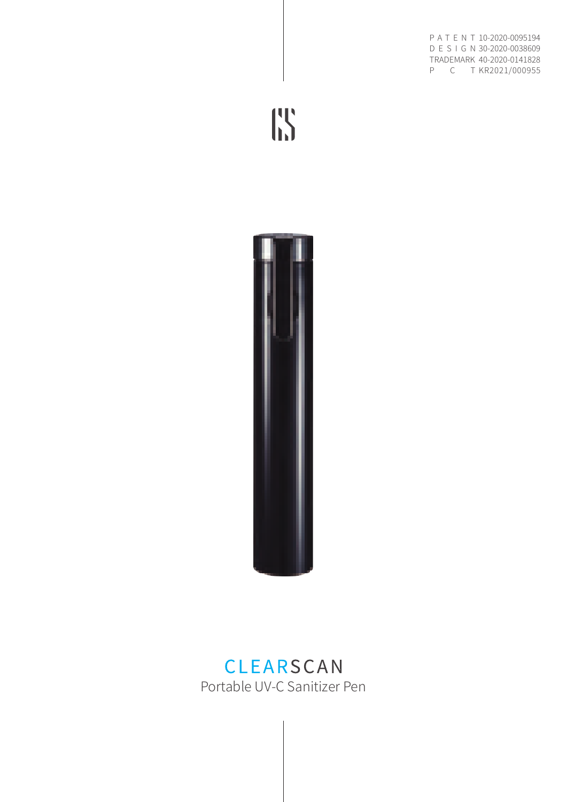PAIEN I 10-2020-0095194 D E S I G N 30-2020-0038609 40-2020-0141828 TRADEMARK P C T KR2021/000955

**IS** 



## **CLEARSCAN** Portable UV-C Sanitizer Pen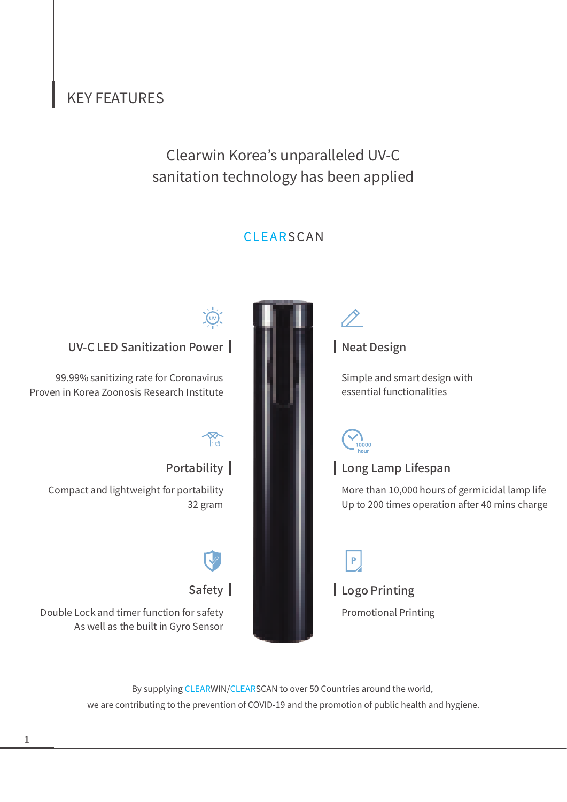#### KEY FEATURES

### sanitation technology has been applied Clearwin Korea's unparalleled UV-C



By supplying CLEARWIN/CLEARSCAN to over 50 Countries around the world, we are contributing to the prevention of COVID-19 and the promotion of public health and hygiene.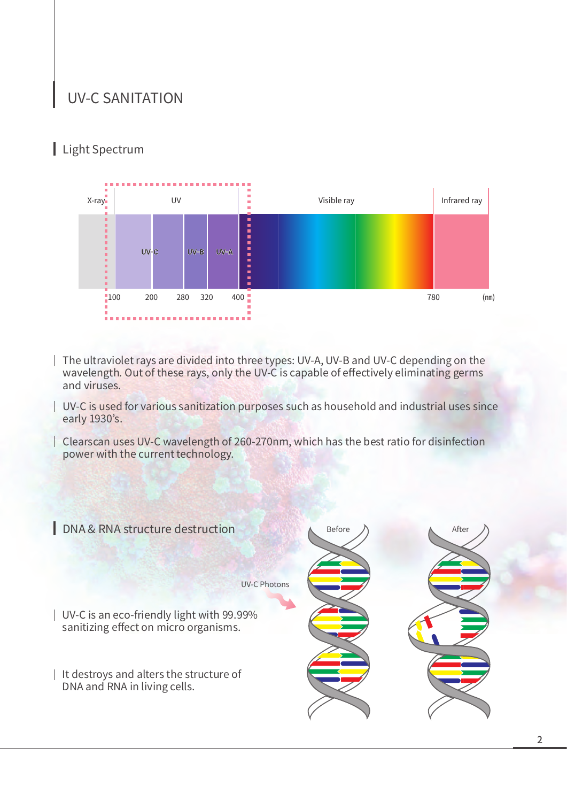#### UV-C SANITATION

#### Light Spectrum



- The ultraviolet rays are divided into three types: UV-A, UV-B and UV-C depending on the wavelength. Out of these rays, only the UV-C is capable of effectively eliminating germs and viruses.
- UV-C is used for various sanitization purposes such as household and industrial uses since early 1930's.
- Clearscan uses UV-C wavelength of 260-270nm, which has the best ratio for disinfection power with the current technology.

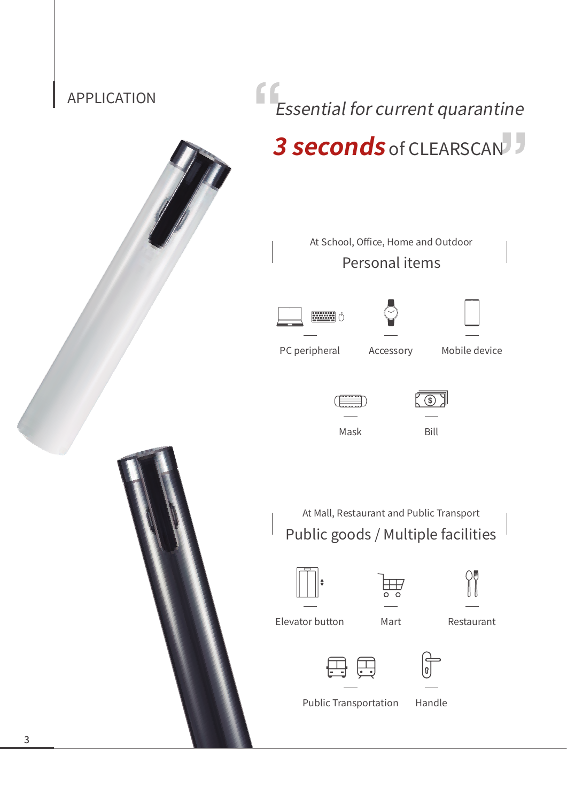# Essential for current quarantine APPLICATION **3 seconds** of CLEARSCAN At School, Office, Home and Outdoor Personal items  $\left[\frac{1}{2}, \frac{1}{2}, \frac{1}{2}, \frac{1}{2}\right]$ PC peripheral Accessory Mobile device  $K$ Mask Bill At Mall, Restaurant and Public Transport Public goods / Multiple facilities Elevator button Mart Restaurant រឿ





Public Transportation Handle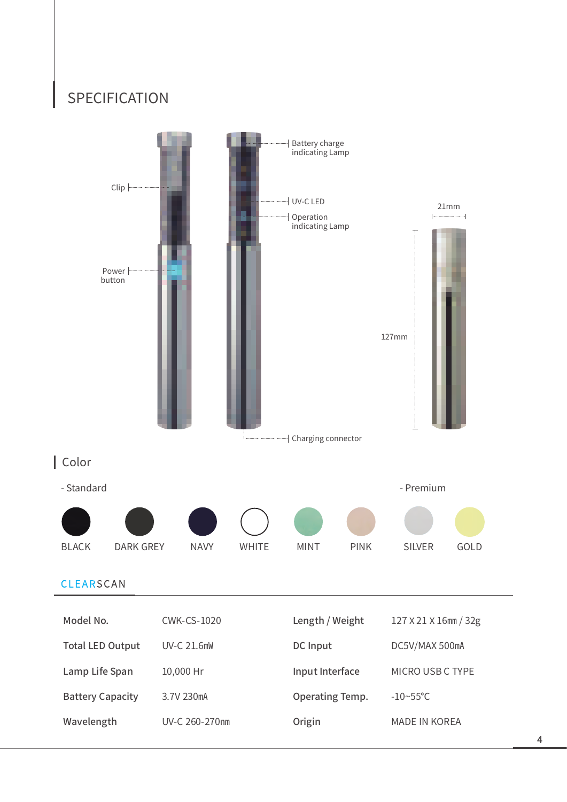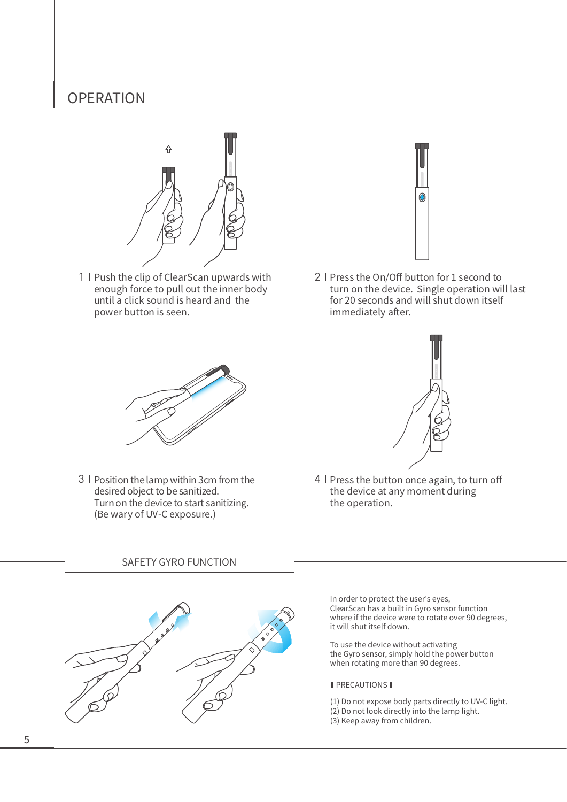#### **OPERATION**



1 | Push the clip of ClearScan upwards with enough force to pull out the inner body until a click sound is heard and the power button is seen.



 $2$  | Press the On/Off button for 1 second to turn on the device. Single operation will last for 20 seconds and will shut down itself immediately after.



3 | Position the lamp within 3cm from the desired object to be sanitized. Turn on the device to start sanitizing. (Be wary of UV-C exposure.)



 $4 \mid$  Press the button once again, to turn off the device at any moment during the operation.

#### SAFETY GYRO FUNCTION



In order to protect the user's eyes, ClearScan has a built in Gyro sensor function where if the device were to rotate over 90 degrees, it will shut itself down.

To use the device without activating the Gyro sensor, simply hold the power button when rotating more than 90 degrees.

#### **PRECAUTIONS**

- (1) Do not expose body parts directly to UV-C light.
- (2) Do not look directly into the lamp light.
- (3) Keep away from children.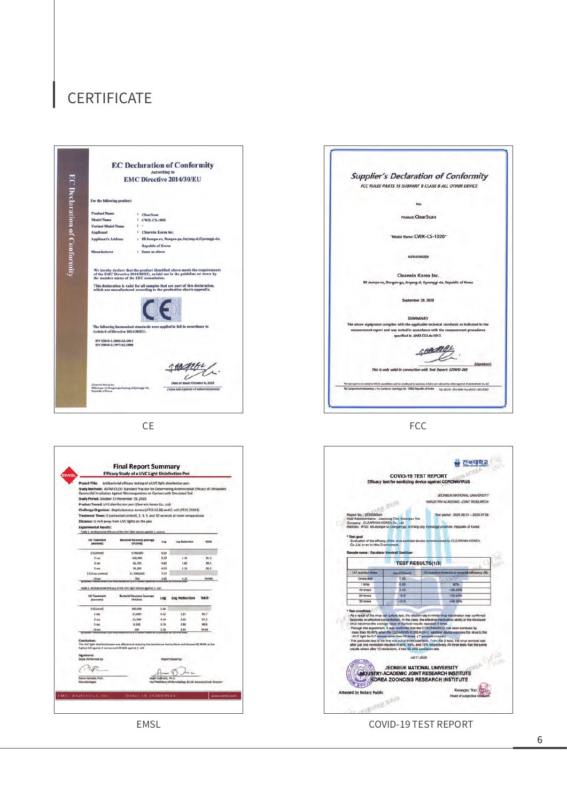#### **CERTIFICATE**









CE FCC



EMSL **EMSL EMSL COVID-19 TEST REPORT**